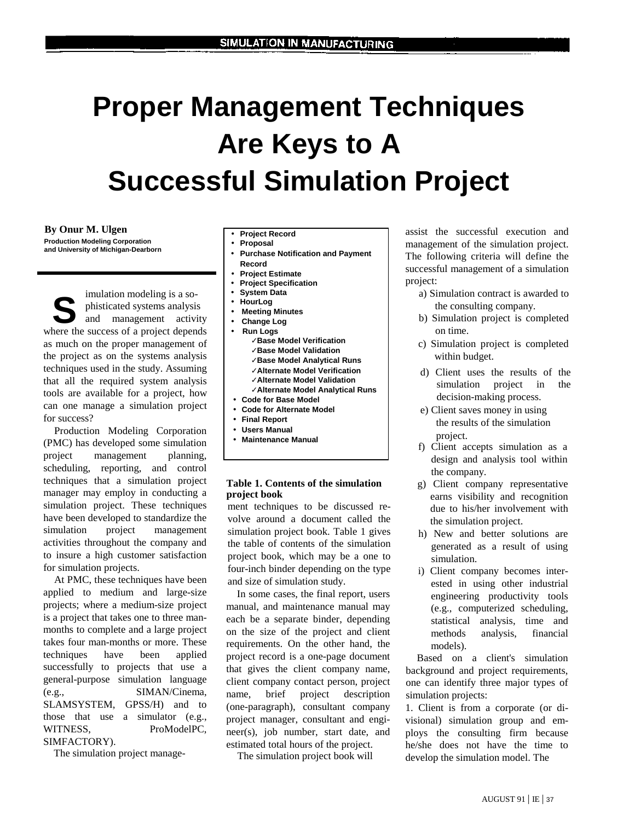# **Proper Management Techniques Are Keys to A Successful Simulation Project**

**By Onur M. Ulgen Production Modeling Corporation and University of Michigan-Dearborn** 

imulation modeling is a sophisticated systems analysis and management activity mulation modeling is a so-<br>phisticated systems analysis<br>and management activity<br>where the success of a project depends as much on the proper management of the project as on the systems analysis techniques used in the study. Assuming that all the required system analysis tools are available for a project, how can one manage a simulation project for success?

Production Modeling Corporation (PMC) has developed some simulation project management planning, scheduling, reporting, and control techniques that a simulation project manager may employ in conducting a simulation project. These techniques have been developed to standardize the simulation project management activities throughout the company and to insure a high customer satisfaction for simulation projects.

At PMC, these techniques have been applied to medium and large-size projects; where a medium-size project is a project that takes one to three manmonths to complete and a large project takes four man-months or more. These techniques have been applied successfully to projects that use a general-purpose simulation language (e.g., SIMAN/Cinema, SLAMSYSTEM, GPSS/H) and to those that use a simulator (e.g., WITNESS, ProModelPC, SIMFACTORY).

The simulation project manage-

- **Project Record**
- **Proposal**
- **Purchase Notification and Payment Record**
- **Project Estimate**
- **Project Specification**
- **System Data**
- **HourLog**
- **Meeting Minutes**
- **Change Log**
- **Run Logs** 
	- ✓**Base Model Verification**
	- ✓**Base Model Validation**
	- ✓**Base Model Analytical Runs**
	- ✓**Alternate Model Verification**
	- ✓**Alternate Model Validation**
	- ✓**Alternate Model Analytical Runs**
- **Code for Base Model**
- **Code for Alternate Model**
- **Final Report**
- **Users Manual**
- **Maintenance Manual**

# **Table 1. Contents of the simulation project book**

ment techniques to be discussed revolve around a document called the simulation project book. Table 1 gives the table of contents of the simulation project book, which may be a one to four-inch binder depending on the type and size of simulation study.

In some cases, the final report, users manual, and maintenance manual may each be a separate binder, depending on the size of the project and client requirements. On the other hand, the project record is a one-page document that gives the client company name, client company contact person, project name, brief project description (one-paragraph), consultant company project manager, consultant and engineer(s), job number, start date, and estimated total hours of the project.

The simulation project book will

assist the successful execution and management of the simulation project. The following criteria will define the successful management of a simulation project:

- a) Simulation contract is awarded to the consulting company.
- b) Simulation project is completed on time.
- c) Simulation project is completed within budget.
- d) Client uses the results of the simulation project in the decision-making process.
- e) Client saves money in using the results of the simulation project.
- f) Client accepts simulation as a design and analysis tool within the company.
- g) Client company representative earns visibility and recognition due to his/her involvement with the simulation project.
- h) New and better solutions are generated as a result of using simulation.
- i) Client company becomes interested in using other industrial engineering productivity tools (e.g., computerized scheduling, statistical analysis, time and methods analysis, financial models).

Based on a client's simulation background and project requirements, one can identify three major types of simulation projects:

1. Client is from a corporate (or divisional) simulation group and employs the consulting firm because he/she does not have the time to develop the simulation model. The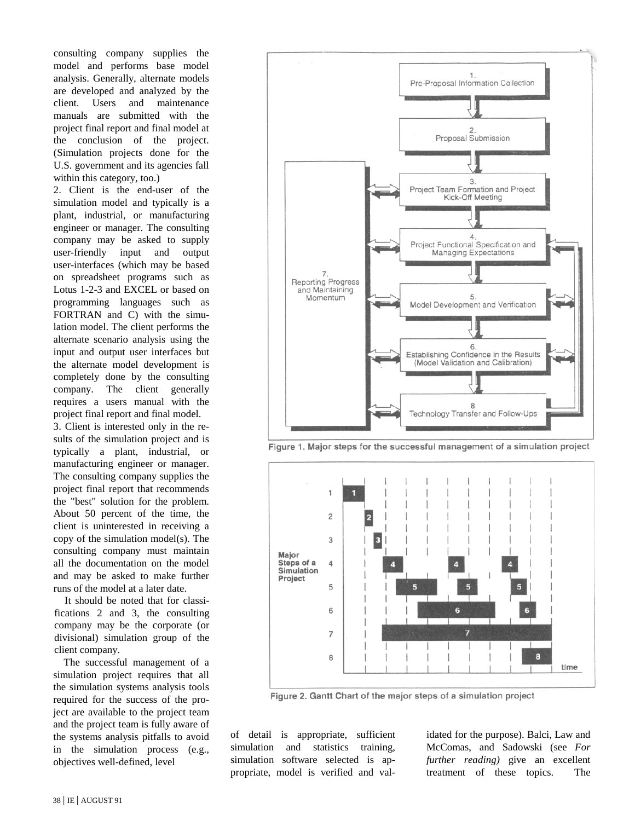consulting company supplies the model and performs base model analysis. Generally, alternate models are developed and analyzed by the client. Users and maintenance manuals are submitted with the project final report and final model at the conclusion of the project. (Simulation projects done for the U.S. government and its agencies fall within this category, too.)

2. Client is the end-user of the simulation model and typically is a plant, industrial, or manufacturing engineer or manager. The consulting company may be asked to supply user-friendly input and output user-interfaces (which may be based on spreadsheet programs such as Lotus 1-2-3 and EXCEL or based on programming languages such as FORTRAN and C) with the simulation model. The client performs the alternate scenario analysis using the input and output user interfaces but the alternate model development is completely done by the consulting company. The client generally requires a users manual with the project final report and final model. 3. Client is interested only in the results of the simulation project and is typically a plant, industrial, or manufacturing engineer or manager. The consulting company supplies the project final report that recommends the "best" solution for the problem. About 50 percent of the time, the client is uninterested in receiving a copy of the simulation model(s). The consulting company must maintain all the documentation on the model and may be asked to make further runs of the model at a later date.

It should be noted that for classifications 2 and 3, the consulting company may be the corporate (or divisional) simulation group of the client company.

The successful management of a simulation project requires that all the simulation systems analysis tools required for the success of the project are available to the project team and the project team is fully aware of the systems analysis pitfalls to avoid in the simulation process (e.g., objectives well-defined, level





F

Figure 1. Major steps for the successful management of a simulation project

Figure 2. Gantt Chart of the major steps of a simulation project

of detail is appropriate, sufficient simulation and statistics training, simulation software selected is appropriate, model is verified and val-

 $\overline{7}$ 

8

idated for the purpose). Balci, Law and McComas, and Sadowski (see *For further reading)* give an excellent treatment of these topics. The

time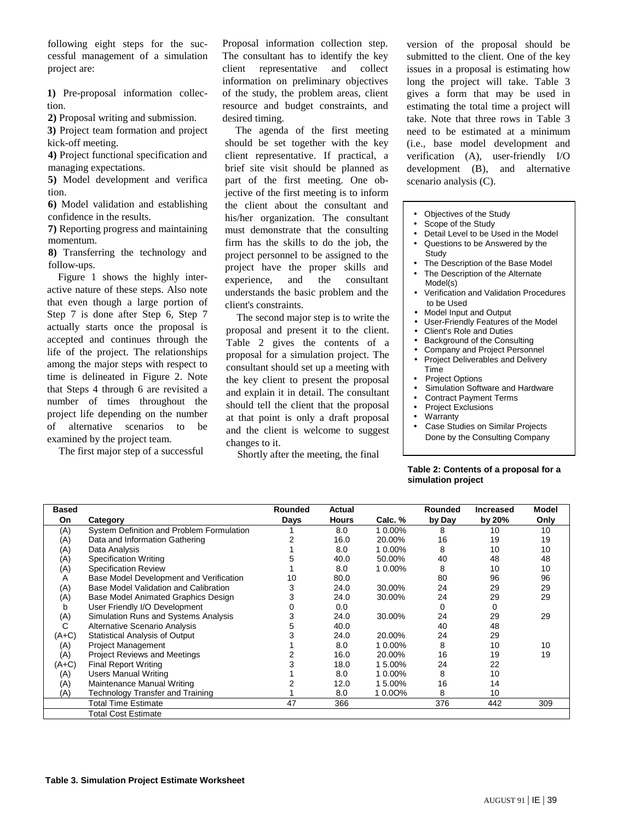following eight steps for the successful management of a simulation project are:

**1)** Pre-proposal information collection.

**2)** Proposal writing and submission.

**3)** Project team formation and project kick-off meeting.

**4)** Project functional specification and managing expectations.

**5)** Model development and verifica tion.

**6)** Model validation and establishing confidence in the results.

**7)** Reporting progress and maintaining momentum.

**8)** Transferring the technology and follow-ups.

Figure 1 shows the highly interactive nature of these steps. Also note that even though a large portion of Step 7 is done after Step 6, Step 7 actually starts once the proposal is accepted and continues through the life of the project. The relationships among the major steps with respect to time is delineated in Figure 2. Note that Steps 4 through 6 are revisited a number of times throughout the project life depending on the number of alternative scenarios to be examined by the project team.

The first major step of a successful

Proposal information collection step. The consultant has to identify the key client representative and collect information on preliminary objectives of the study, the problem areas, client resource and budget constraints, and desired timing.

The agenda of the first meeting should be set together with the key client representative. If practical, a brief site visit should be planned as part of the first meeting. One objective of the first meeting is to inform the client about the consultant and his/her organization. The consultant must demonstrate that the consulting firm has the skills to do the job, the project personnel to be assigned to the project have the proper skills and experience, and the consultant understands the basic problem and the client's constraints.

The second major step is to write the proposal and present it to the client. Table 2 gives the contents of a proposal for a simulation project. The consultant should set up a meeting with the key client to present the proposal and explain it in detail. The consultant should tell the client that the proposal at that point is only a draft proposal and the client is welcome to suggest changes to it.

Shortly after the meeting, the final

version of the proposal should be submitted to the client. One of the key issues in a proposal is estimating how long the project will take. Table 3 gives a form that may be used in estimating the total time a project will take. Note that three rows in Table 3 need to be estimated at a minimum (i.e., base model development and verification (A), user-friendly I/O development (B), and alternative scenario analysis (C).

- Objectives of the Study
- Scope of the Study
- Detail Level to be Used in the Model
- Questions to be Answered by the Study
- The Description of the Base Model
- The Description of the Alternate Model(s)
- Verification and Validation Procedures to be Used
- Model Input and Output
- User-Friendly Features of the Model
- Client's Role and Duties
- Background of the Consulting
- Company and Project Personnel • Project Deliverables and Delivery
- Time **Project Options**
- Simulation Software and Hardware
- Contract Payment Terms
- Project Exclusions
- Warranty
- Case Studies on Similar Projects Done by the Consulting Company

#### **Table 2: Contents of a proposal for a simulation project**

| <b>Based</b> |                                           | Rounded | Actual       |         | <b>Rounded</b> | <b>Increased</b> | <b>Model</b> |
|--------------|-------------------------------------------|---------|--------------|---------|----------------|------------------|--------------|
| On           | Category                                  | Days    | <b>Hours</b> | Calc. % | by Day         | by 20%           | Only         |
| (A)          | System Definition and Problem Formulation |         | 8.0          | 1 0.00% | 8              | 10               | 10           |
| (A)          | Data and Information Gathering            |         | 16.0         | 20.00%  | 16             | 19               | 19           |
| (A)          | Data Analysis                             |         | 8.0          | 1 0.00% | 8              | 10               | 10           |
| (A)          | Specification Writing                     |         | 40.0         | 50.00%  | 40             | 48               | 48           |
| (A)          | <b>Specification Review</b>               |         | 8.0          | 1 0.00% | 8              | 10               | 10           |
| A            | Base Model Development and Verification   | 10      | 80.0         |         | 80             | 96               | 96           |
| (A)          | Base Model Validation and Calibration     | 3       | 24.0         | 30.00%  | 24             | 29               | 29           |
| (A)          | Base Model Animated Graphics Design       | 3       | 24.0         | 30.00%  | 24             | 29               | 29           |
| b            | User Friendly I/O Development             | 0       | 0.0          |         | 0              | 0                |              |
| (A)          | Simulation Runs and Systems Analysis      | 3       | 24.0         | 30.00%  | 24             | 29               | 29           |
| C            | <b>Alternative Scenario Analysis</b>      |         | 40.0         |         | 40             | 48               |              |
| $(A+C)$      | Statistical Analysis of Output            |         | 24.0         | 20.00%  | 24             | 29               |              |
| (A)          | <b>Project Management</b>                 |         | 8.0          | 1 0.00% | 8              | 10               | 10           |
| (A)          | <b>Project Reviews and Meetings</b>       |         | 16.0         | 20.00%  | 16             | 19               | 19           |
| $(A+C)$      | <b>Final Report Writing</b>               |         | 18.0         | 15.00%  | 24             | 22               |              |
| (A)          | <b>Users Manual Writing</b>               |         | 8.0          | 1 0.00% | 8              | 10               |              |
| (A)          | Maintenance Manual Writing                |         | 12.0         | 1 5.00% | 16             | 14               |              |
| (A)          | Technology Transfer and Training          |         | 8.0          | 10.00%  | 8              | 10               |              |
|              | <b>Total Time Estimate</b>                | 47      | 366          |         | 376            | 442              | 309          |
|              | Total Cost Estimate                       |         |              |         |                |                  |              |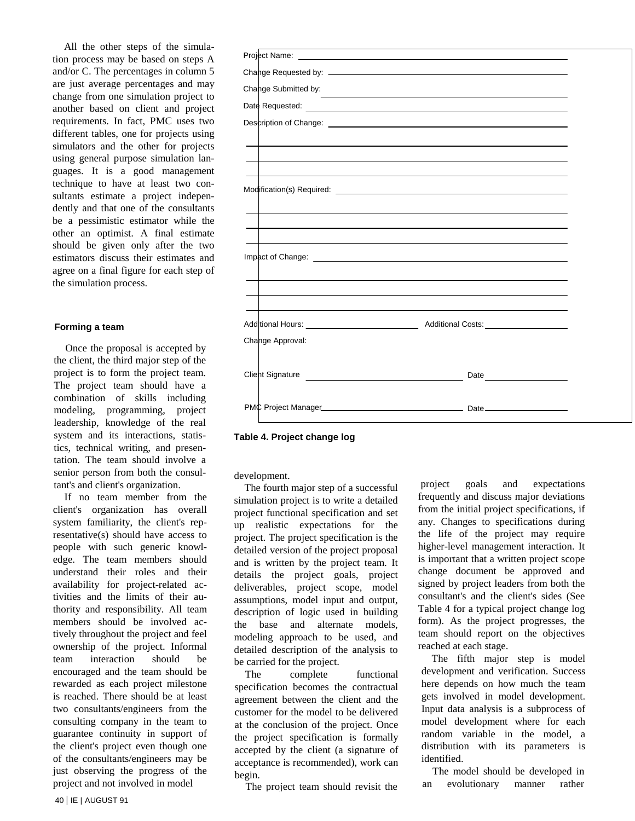All the other steps of the simulation process may be based on steps A and/or C. The percentages in column 5 are just average percentages and may change from one simulation project to another based on client and project requirements. In fact, PMC uses two different tables, one for projects using simulators and the other for projects using general purpose simulation languages. It is a good management technique to have at least two consultants estimate a project independently and that one of the consultants be a pessimistic estimator while the other an optimist. A final estimate should be given only after the two estimators discuss their estimates and agree on a final figure for each step of the simulation process.

### **Forming a team**

Once the proposal is accepted by the client, the third major step of the project is to form the project team. The project team should have a combination of skills including modeling, programming, project leadership, knowledge of the real system and its interactions, statistics, technical writing, and presentation. The team should involve a senior person from both the consultant's and client's organization.

If no team member from the client's organization has overall system familiarity, the client's representative(s) should have access to people with such generic knowledge. The team members should understand their roles and their availability for project-related activities and the limits of their authority and responsibility. All team members should be involved actively throughout the project and feel ownership of the project. Informal team interaction should be encouraged and the team should be rewarded as each project milestone is reached. There should be at least two consultants/engineers from the consulting company in the team to guarantee continuity in support of the client's project even though one of the consultants/engineers may be just observing the progress of the project and not involved in model





development.

The fourth major step of a successful simulation project is to write a detailed project functional specification and set up realistic expectations for the project. The project specification is the detailed version of the project proposal and is written by the project team. It details the project goals, project deliverables, project scope, model assumptions, model input and output, description of logic used in building the base and alternate models, modeling approach to be used, and detailed description of the analysis to be carried for the project.

The complete functional specification becomes the contractual agreement between the client and the customer for the model to be delivered at the conclusion of the project. Once the project specification is formally accepted by the client (a signature of acceptance is recommended), work can begin.

The project team should revisit the

 project goals and expectations frequently and discuss major deviations from the initial project specifications, if any. Changes to specifications during the life of the project may require higher-level management interaction. It is important that a written project scope change document be approved and signed by project leaders from both the consultant's and the client's sides (See Table 4 for a typical project change log form). As the project progresses, the team should report on the objectives reached at each stage.

The fifth major step is model development and verification. Success here depends on how much the team gets involved in model development. Input data analysis is a subprocess of model development where for each random variable in the model, a distribution with its parameters is identified.

The model should be developed in an evolutionary manner rather